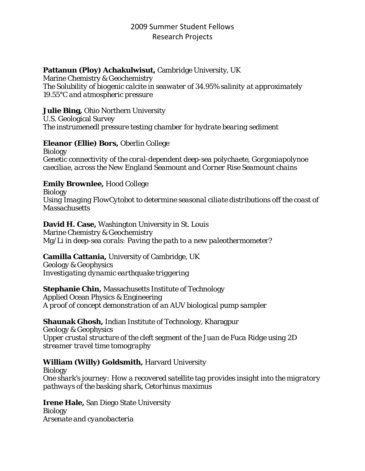## 2009 Summer Student Fellows Research Projects

## **Pattanun (Ploy) Achakulwisut,** Cambridge University, UK

Marine Chemistry & Geochemistry *The Solubility of biogenic calcite in seawater of 34.95% salinity at approximately 19.55°C and atmospheric pressure*

### **Julie Bing,** Ohio Northern University

U.S. Geological Survey *The instrumenedl pressure testing chamber for hydrate bearing sediment*

## **Eleanor (Ellie) Bors,** Oberlin College

Biology *Genetic connectivity of the coral-dependent deep-sea polychaete, Gorgoniapolynoe caeciliae, across the New England Seamount and Corner Rise Seamount chains*

## **Emily Brownlee,** Hood College

Biology *Using Imaging FlowCytobot to determine seasonal ciliate distributions off the coast of Massachusetts*

#### **David H. Case,** Washington University in St. Louis Marine Chemistry & Geochemistry *Mg/Li in deep-sea corals: Paving the path to a new paleothermometer?*

# **Camilla Cattania,** University of Cambridge, UK

Geology & Geophysics *Investigating dynamic earthquake triggering*

## **Stephanie Chin,** Massachusetts Institute of Technology

Applied Ocean Physics & Engineering *A proof of concept demonstration of an AUV biological pump sampler*

## **Shaunak Ghosh,** Indian Institute of Technology, Kharagpur

Geology & Geophysics *Upper crustal structure of the cleft segment of the Juan de Fuca Ridge using 2D streamer travel time tomography*

## **William (Willy) Goldsmith,** Harvard University

Biology *One shark's journey: How a recovered satellite tag provides insight into the migratory pathways of the basking shark, Cetorhinus maximus*

**Irene Hale,** San Diego State University Biology *Arsenate and cyanobacteria*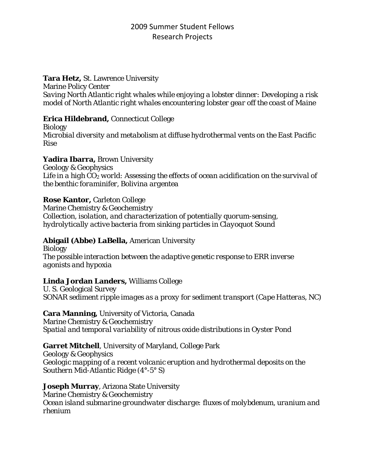## 2009 Summer Student Fellows Research Projects

### **Tara Hetz,** St. Lawrence University

Marine Policy Center *Saving North Atlantic right whales while enjoying a lobster dinner: Developing a risk model of North Atlantic right whales encountering lobster gear off the coast of Maine*

### **Erica Hildebrand,** Connecticut College

Biology *Microbial diversity and metabolism at diffuse hydrothermal vents on the East Pacific Rise*

### **Yadira Ibarra,** Brown University

Geology & Geophysics *Life in a high CO2 world: Assessing the effects of ocean acidification on the survival of the benthic foraminifer, Bolivina argentea*

### **Rose Kantor,** Carleton College

Marine Chemistry & Geochemistry *Collection, isolation, and characterization of potentially quorum-sensing, hydrolytically active bacteria from sinking particles in Clayoquot Sound*

## **Abigail (Abbe) LaBella,** American University

Biology *The possible interaction between the adaptive genetic response to ERR inverse agonists and hypoxia*

## **Linda Jordan Landers,** Williams College

U. S. Geological Survey *SONAR sediment ripple images as a proxy for sediment transport (Cape Hatteras, NC)*

## **Cara Manning,** University of Victoria, Canada

Marine Chemistry & Geochemistry *Spatial and temporal variability of nitrous oxide distributions in Oyster Pond*

## **Garret Mitchell**, University of Maryland, College Park

Geology & Geophysics *Geologic mapping of a recent volcanic eruption and hydrothermal deposits on the Southern Mid-Atlantic Ridge (4°-5° S)*

**Joseph Murray**, Arizona State University Marine Chemistry & Geochemistry *Ocean island submarine groundwater discharge: fluxes of molybdenum, uranium and rhenium*